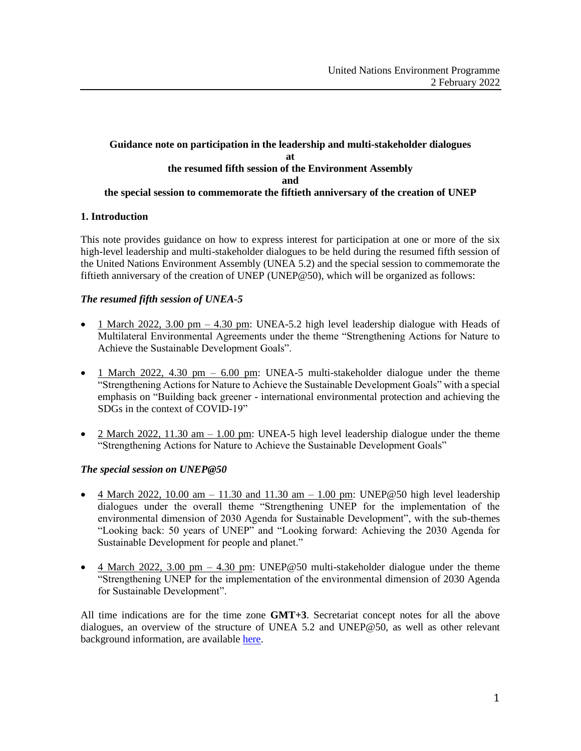# **Guidance note on participation in the leadership and multi-stakeholder dialogues at the resumed fifth session of the Environment Assembly and the special session to commemorate the fiftieth anniversary of the creation of UNEP**

# **1. Introduction**

This note provides guidance on how to express interest for participation at one or more of the six high-level leadership and multi-stakeholder dialogues to be held during the resumed fifth session of the United Nations Environment Assembly (UNEA 5.2) and the special session to commemorate the fiftieth anniversary of the creation of UNEP (UNEP@50), which will be organized as follows:

### *The resumed fifth session of UNEA-5*

- 1 March 2022, 3.00 pm  $-$  4.30 pm: UNEA-5.2 high level leadership dialogue with Heads of Multilateral Environmental Agreements under the theme "Strengthening Actions for Nature to Achieve the Sustainable Development Goals".
- 1 March 2022, 4.30 pm  $6.00$  pm: UNEA-5 multi-stakeholder dialogue under the theme "Strengthening Actions for Nature to Achieve the Sustainable Development Goals" with a special emphasis on "Building back greener - international environmental protection and achieving the SDGs in the context of COVID-19"
- 2 March 2022, 11.30 am  $-1.00$  pm: UNEA-5 high level leadership dialogue under the theme "Strengthening Actions for Nature to Achieve the Sustainable Development Goals"

### *The special session on UNEP@50*

- $4$  March 2022, 10.00 am  $-$  11.30 and 11.30 am  $-$  1.00 pm: UNEP@50 high level leadership dialogues under the overall theme "Strengthening UNEP for the implementation of the environmental dimension of 2030 Agenda for Sustainable Development", with the sub-themes "Looking back: 50 years of UNEP" and "Looking forward: Achieving the 2030 Agenda for Sustainable Development for people and planet."
- 4 March 2022, 3.00 pm  $-$  4.30 pm: UNEP@50 multi-stakeholder dialogue under the theme "Strengthening UNEP for the implementation of the environmental dimension of 2030 Agenda for Sustainable Development".

All time indications are for the time zone **GMT+3**. Secretariat concept notes for all the above dialogues, an overview of the structure of UNEA 5.2 and UNEP@50, as well as other relevant background information, are available [here.](https://www.unep.org/environmentassembly/pre-session-documents-unea-5)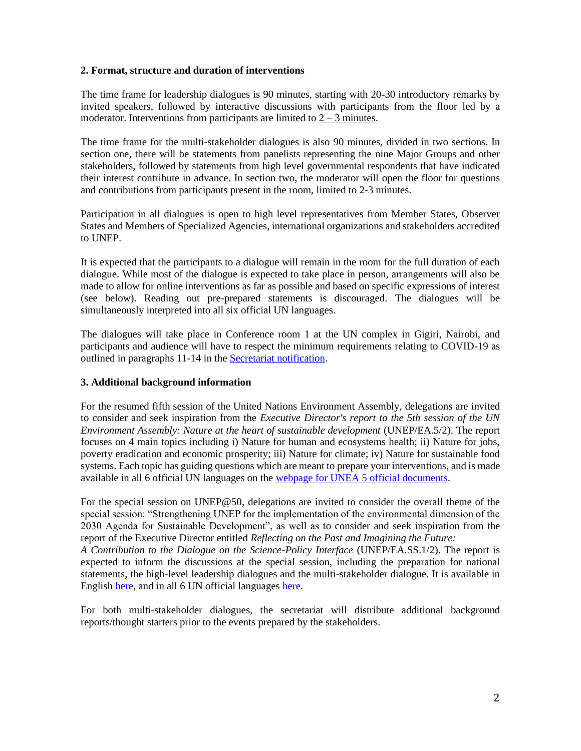### **2. Format, structure and duration of interventions**

The time frame for leadership dialogues is 90 minutes, starting with 20-30 introductory remarks by invited speakers, followed by interactive discussions with participants from the floor led by a moderator. Interventions from participants are limited to  $2 - 3$  minutes.

The time frame for the multi-stakeholder dialogues is also 90 minutes, divided in two sections. In section one, there will be statements from panelists representing the nine Major Groups and other stakeholders, followed by statements from high level governmental respondents that have indicated their interest contribute in advance. In section two, the moderator will open the floor for questions and contributions from participants present in the room, limited to 2-3 minutes.

Participation in all dialogues is open to high level representatives from Member States, Observer States and Members of Specialized Agencies, international organizations and stakeholders accredited to UNEP.

It is expected that the participants to a dialogue will remain in the room for the full duration of each dialogue. While most of the dialogue is expected to take place in person, arrangements will also be made to allow for online interventions as far as possible and based on specific expressions of interest (see below). Reading out pre-prepared statements is discouraged. The dialogues will be simultaneously interpreted into all six official UN languages.

The dialogues will take place in Conference room 1 at the UN complex in Gigiri, Nairobi, and participants and audience will have to respect the minimum requirements relating to COVID-19 as outlined in paragraphs 11-14 in the [Secretariat notification.](https://wedocs.unep.org/bitstream/handle/20.500.11822/37658/Final%20notification%20UNEA-5.2%20and%20UNEP%4050%20.pdf?sequence=1&isAllowed=y)

### **3. Additional background information**

For the resumed fifth session of the United Nations Environment Assembly, delegations are invited to consider and seek inspiration from the *Executive Director's report to the 5th session of the UN Environment Assembly: Nature at the heart of sustainable development* (UNEP/EA.5/2). The report focuses on 4 main topics including i) Nature for human and ecosystems health; ii) Nature for jobs, poverty eradication and economic prosperity; iii) Nature for climate; iv) Nature for sustainable food systems. Each topic has guiding questions which are meant to prepare your interventions, and is made available in all 6 official UN languages on the [webpage for UNEA 5 official documents.](https://www.unep.org/environmentassembly/pre-session-working-documents-unea-5?%2Fpre-session-working-douments-unea-5=)

For the special session on UNEP@50, delegations are invited to consider the overall theme of the special session: "Strengthening UNEP for the implementation of the environmental dimension of the 2030 Agenda for Sustainable Development", as well as to consider and seek inspiration from the report of the Executive Director entitled *Reflecting on the Past and Imagining the Future: A Contribution to the Dialogue on the Science-Policy Interface* (UNEP/EA.SS.1/2). The report is expected to inform the discussions at the special session, including the preparation for national statements, the high-level leadership dialogues and the multi-stakeholder dialogue. It is available in English [here,](https://wedocs.unep.org/bitstream/handle/20.500.11822/37975/K2103486_EN.pdf?sequence=1&isAllowed=y) and in all 6 UN official language[s here.](https://wedocs.unep.org/handle/20.500.11822/37975)

For both multi-stakeholder dialogues, the secretariat will distribute additional background reports/thought starters prior to the events prepared by the stakeholders.